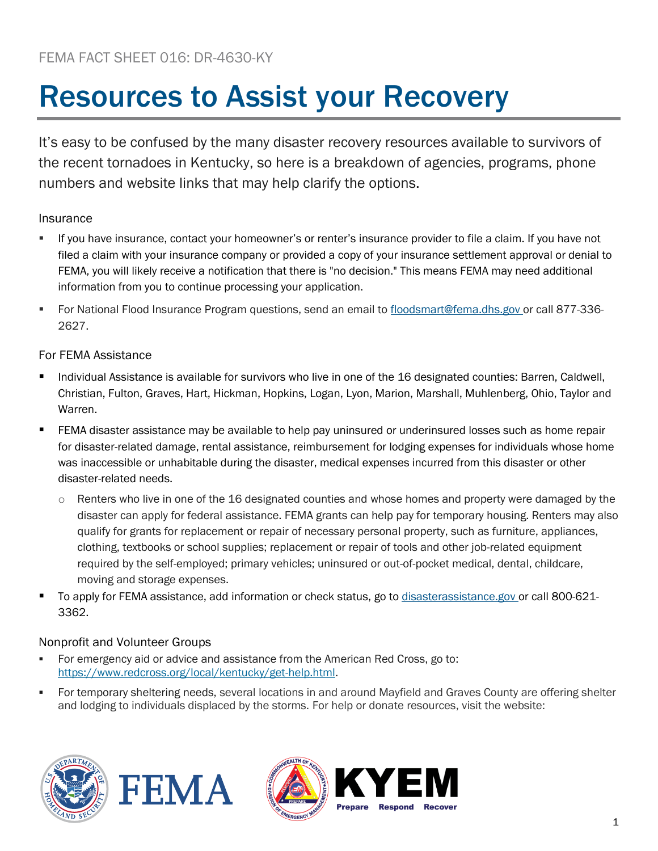# Resources to Assist your Recovery

It's easy to be confused by the many disaster recovery resources available to survivors of the recent tornadoes in Kentucky, so here is a breakdown of agencies, programs, phone numbers and website links that may help clarify the options.

## Insurance

- If you have insurance, contact your homeowner's or renter's insurance provider to file a claim. If you have not filed a claim with your insurance company or provided a copy of your insurance settlement approval or denial to FEMA, you will likely receive a notification that there is "no decision." This means FEMA may need additional information from you to continue processing your application.
- For National Flood Insurance Program questions, send an email to [floodsmart@fema.dhs.gov](mailto:floodsmart@fema.dhs.gov) or call 877-336- 2627.

## For FEMA Assistance

- Individual Assistance is available for survivors who live in one of the 16 designated counties: Barren, Caldwell, Christian, Fulton, Graves, Hart, Hickman, Hopkins, Logan, Lyon, Marion, Marshall, Muhlenberg, Ohio, Taylor and Warren.
- FEMA disaster assistance may be available to help pay uninsured or underinsured losses such as home repair for disaster-related damage, rental assistance, reimbursement for lodging expenses for individuals whose home was inaccessible or unhabitable during the disaster, medical expenses incurred from this disaster or other disaster-related needs.
	- $\circ$  Renters who live in one of the 16 designated counties and whose homes and property were damaged by the disaster can apply for federal assistance. FEMA grants can help pay for temporary housing. Renters may also qualify for grants for replacement or repair of necessary personal property, such as furniture, appliances, clothing, textbooks or school supplies; replacement or repair of tools and other job-related equipment required by the self-employed; primary vehicles; uninsured or out-of-pocket medical, dental, childcare, moving and storage expenses.
- To apply for FEMA assistance, add information or check status, go to [disasterassistance.gov](https://www.disasterassistance.gov/) or call 800-621-3362.

# Nonprofit and Volunteer Groups

- For emergency aid or advice and assistance from the American Red Cross, go to: [https://www.redcross.org/local/kentucky/get-help.html.](https://www.redcross.org/local/kentucky/get-help.html)
- For temporary sheltering needs, several locations in and around Mayfield and Graves County are offering shelter and lodging to individuals displaced by the storms. For help or donate resources, visit the website:







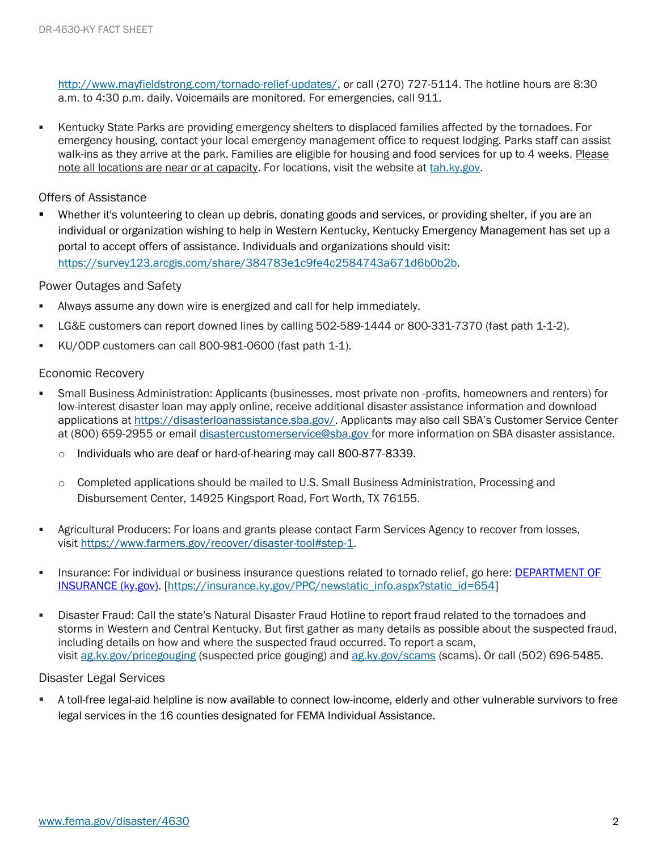[http://www.mayfieldstrong.com/tornado-relief-updates/,](http://www.mayfieldstrong.com/tornado-relief-updates/) or call (270) 727-5114. The hotline hours are 8:30 a.m. to 4:30 p.m. daily. Voicemails are monitored. For emergencies, call 911.

▪ Kentucky State Parks are providing emergency shelters to displaced families affected by the tornadoes. For emergency housing, contact your local emergency management office to request lodging. Parks staff can assist walk-ins as they arrive at the park. Families are eligible for housing and food services for up to 4 weeks. Please note all locations are near or at capacity. For locations, visit the website at [tah.ky.gov.](https://tah.ky.gov/Pages/Home.aspx)

## Offers of Assistance

Whether it's volunteering to clean up debris, donating goods and services, or providing shelter, if you are an individual or organization wishing to help in Western Kentucky, Kentucky Emergency Management has set up a portal to accept offers of assistance. Individuals and organizations should visit: [https://survey123.arcgis.com/share/384783e1c9fe4c2584743a671d6b0b2b.](https://survey123.arcgis.com/share/384783e1c9fe4c2584743a671d6b0b2b)

## Power Outages and Safety

- Always assume any down wire is energized and call for help immediately.
- LG&E customers can report downed lines by calling 502-589-1444 or 800-331-7370 (fast path 1-1-2).
- KU/ODP customers can call 800-981-0600 (fast path 1-1).

## Economic Recovery

- Small Business Administration: Applicants (businesses, most private non -profits, homeowners and renters) for low-interest disaster loan may apply online, receive additional disaster assistance information and download applications at [https://disasterloanassistance.sba.gov/.](https://disasterloanassistance.sba.gov/) Applicants may also call SBA's Customer Service Center at (800) 659-2955 or email [disastercustomerservice@sba.gov](mailto:disastercustomerservice@sba.gov) for more information on SBA disaster assistance.
	- o Individuals who are deaf or hard-of-hearing may call 800-877-8339.
	- $\circ$  Completed applications should be mailed to U.S. Small Business Administration, Processing and Disbursement Center, 14925 Kingsport Road, Fort Worth, TX 76155.
- **EXECT Agricultural Producers: For loans and grants please contact Farm Services Agency to recover from losses,** visit [https://www.farmers.gov/recover/disaster-tool#step-1.](https://gcc02.safelinks.protection.outlook.com/?url=https%3A%2F%2Fwww.farmers.gov%2Frecover%2Fdisaster-tool%23step-1&data=04%7C01%7Csusheel.kumar%40sba.gov%7C599ac945fcae461af0b708d96d91b9b6%7C3c89fd8a7f684667aa1541ebf2208961%7C1%7C1%7C637661294922139511%7CUnknown%7CTWFpbGZsb3d8eyJWIjoiMC4wLjAwMDAiLCJQIjoiV2luMzIiLCJBTiI6Ik1haWwiLCJXVCI6Mn0%3D%7C1000&sdata=iIpNRgzd%2BlLUdrusO51%2B%2BpzqMnveH%2BK7t%2FZOeSyG78A%3D&reserved=0)
- **EXECT** Insurance: For individual or business insurance questions related to tornado relief, go here: DEPARTMENT OF [INSURANCE \(ky.gov\).](https://insurance.ky.gov/PPC/newstatic_info.aspx?static_id=654) [\[https://insurance.ky.gov/PPC/newstatic\\_info.aspx?static\\_id=654\]](https://insurance.ky.gov/PPC/newstatic_info.aspx?static_id=654)
- Disaster Fraud: Call the state's Natural Disaster Fraud Hotline to report fraud related to the tornadoes and storms in Western and Central Kentucky. But first gather as many details as possible about the suspected fraud, including details on how and where the suspected fraud occurred. To report a scam, visit [ag.ky.gov/pricegouging](https://ag.ky.gov/pricegouging) (suspected price gouging) and [ag.ky.gov/scams](https://ag.ky.gov/scams) (scams). Or call (502) 696-5485.

#### Disaster Legal Services

▪ A toll-free legal-aid helpline is now available to connect low-income, elderly and other vulnerable survivors to free legal services in the 16 counties designated for FEMA Individual Assistance.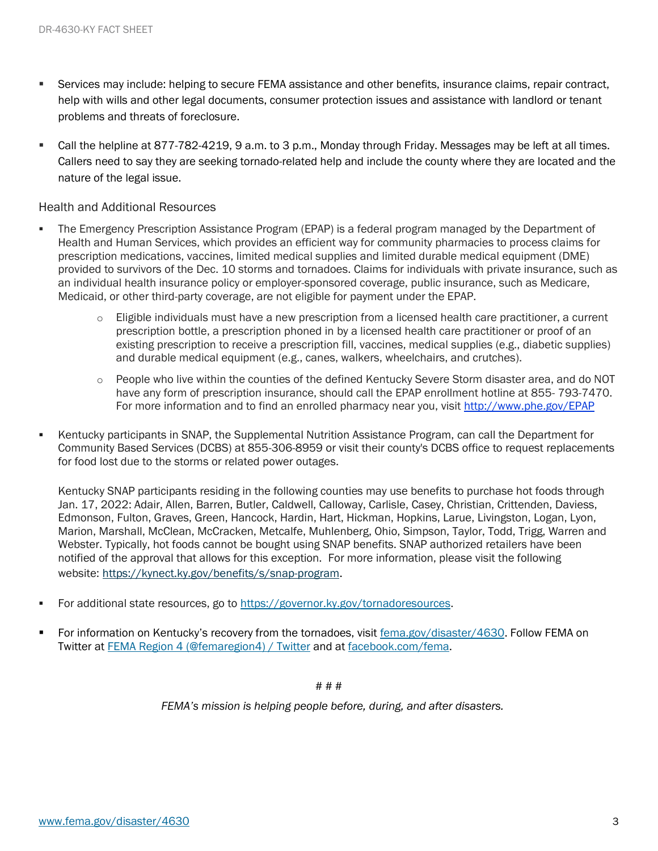- **EXECT** Services may include: helping to secure FEMA assistance and other benefits, insurance claims, repair contract, help with wills and other legal documents, consumer protection issues and assistance with landlord or tenant problems and threats of foreclosure.
- Call the helpline at 877-782-4219, 9 a.m. to 3 p.m., Monday through Friday. Messages may be left at all times. Callers need to say they are seeking tornado-related help and include the county where they are located and the nature of the legal issue.

#### Health and Additional Resources

- The Emergency Prescription Assistance Program (EPAP) is a federal program managed by the Department of Health and Human Services, which provides an efficient way for community pharmacies to process claims for prescription medications, vaccines, limited medical supplies and limited durable medical equipment (DME) provided to survivors of the Dec. 10 storms and tornadoes. Claims for individuals with private insurance, such as an individual health insurance policy or employer-sponsored coverage, public insurance, such as Medicare, Medicaid, or other third-party coverage, are not eligible for payment under the EPAP.
	- $\circ$  Eligible individuals must have a new prescription from a licensed health care practitioner, a current prescription bottle, a prescription phoned in by a licensed health care practitioner or proof of an existing prescription to receive a prescription fill, vaccines, medical supplies (e.g., diabetic supplies) and durable medical equipment (e.g., canes, walkers, wheelchairs, and crutches).
	- o People who live within the counties of the defined Kentucky Severe Storm disaster area, and do NOT have any form of prescription insurance, should call the EPAP enrollment hotline at 855- 793-7470. For more information and to find an enrolled pharmacy near you, visit <http://www.phe.gov/EPAP>
- Kentucky participants in SNAP, the Supplemental Nutrition Assistance Program, can call the Department for Community Based Services (DCBS) at 855-306-8959 or visit their county's DCBS office to request replacements for food lost due to the storms or related power outages.

Kentucky SNAP participants residing in the following counties may use benefits to purchase hot foods through Jan. 17, 2022: Adair, Allen, Barren, Butler, Caldwell, Calloway, Carlisle, Casey, Christian, Crittenden, Daviess, Edmonson, Fulton, Graves, Green, Hancock, Hardin, Hart, Hickman, Hopkins, Larue, Livingston, Logan, Lyon, Marion, Marshall, McClean, McCracken, Metcalfe, Muhlenberg, Ohio, Simpson, Taylor, Todd, Trigg, Warren and Webster. Typically, hot foods cannot be bought using SNAP benefits. SNAP authorized retailers have been notified of the approval that allows for this exception. For more information, please visit the following website: [https://kynect.ky.gov/benefits/s/snap-program.](https://kynect.ky.gov/benefits/s/snap-program?language=en_US)

- For additional state resources, go to [https://governor.ky.gov/tornadoresources.](https://governor.ky.gov/tornadoresources)
- For information on Kentucky's recovery from the tornadoes, visit [fema.gov/disaster/4630.](https://www.fema.gov/disaster/4630) Follow FEMA on Twitter at [FEMA Region 4 \(@femaregion4\) / Twitter](https://twitter.com/femaregion4) and at [facebook.com/fema.](http://www.facebook.com/fema)

#### # # #

*FEMA's mission is helping people before, during, and after disasters.*